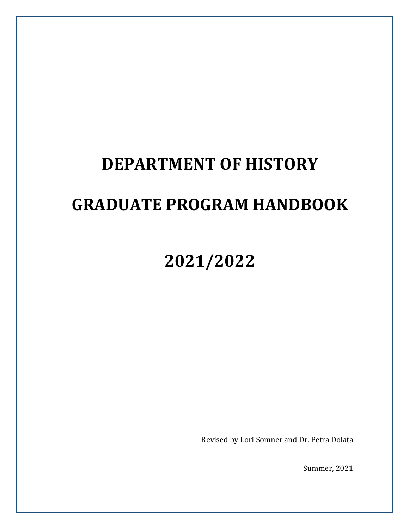# **DEPARTMENT OF HISTORY**

# **GRADUATE PROGRAM HANDBOOK**

# **2021/2022**

Revised by Lori Somner and Dr. Petra Dolata

**Summer, 2021**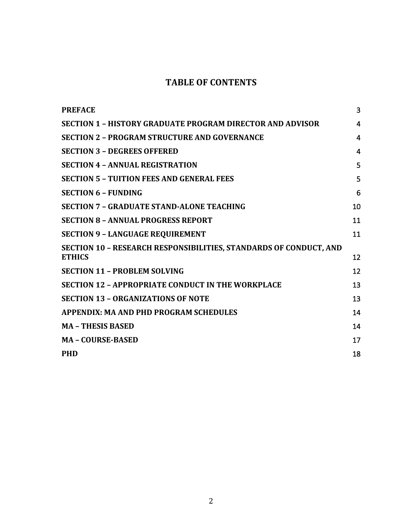# **TABLE OF CONTENTS**

| <b>PREFACE</b>                                                                     | 3  |
|------------------------------------------------------------------------------------|----|
| <b>SECTION 1 - HISTORY GRADUATE PROGRAM DIRECTOR AND ADVISOR</b>                   | 4  |
| <b>SECTION 2 - PROGRAM STRUCTURE AND GOVERNANCE</b>                                | 4  |
| <b>SECTION 3 - DEGREES OFFERED</b>                                                 | 4  |
| <b>SECTION 4 - ANNUAL REGISTRATION</b>                                             | 5  |
| <b>SECTION 5 - TUITION FEES AND GENERAL FEES</b>                                   | 5  |
| <b>SECTION 6 - FUNDING</b>                                                         | 6  |
| <b>SECTION 7 - GRADUATE STAND-ALONE TEACHING</b>                                   | 10 |
| <b>SECTION 8 - ANNUAL PROGRESS REPORT</b>                                          | 11 |
| <b>SECTION 9 - LANGUAGE REQUIREMENT</b>                                            | 11 |
| SECTION 10 - RESEARCH RESPONSIBILITIES, STANDARDS OF CONDUCT, AND<br><b>ETHICS</b> | 12 |
| <b>SECTION 11 - PROBLEM SOLVING</b>                                                | 12 |
| <b>SECTION 12 - APPROPRIATE CONDUCT IN THE WORKPLACE</b>                           | 13 |
| <b>SECTION 13 - ORGANIZATIONS OF NOTE</b>                                          | 13 |
| <b>APPENDIX: MA AND PHD PROGRAM SCHEDULES</b>                                      | 14 |
| <b>MA - THESIS BASED</b>                                                           | 14 |
| <b>MA - COURSE-BASED</b>                                                           | 17 |
| <b>PHD</b>                                                                         | 18 |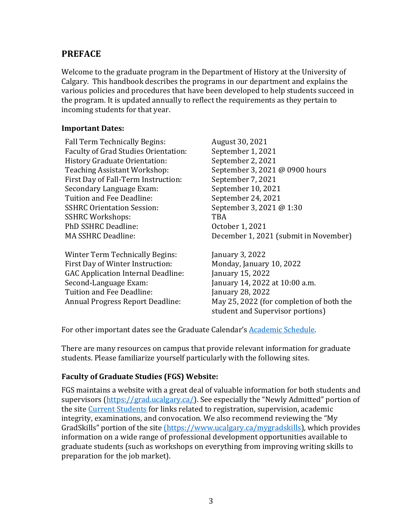## **PREFACE**

Welcome to the graduate program in the Department of History at the University of Calgary. This handbook describes the programs in our department and explains the various policies and procedures that have been developed to help students succeed in the program. It is updated annually to reflect the requirements as they pertain to incoming students for that year.

#### **Important Dates:**

Fall Term Technically Begins: August 30, 2021 Faculty of Grad Studies Orientation: September 1, 2021 History Graduate Orientation: September 2, 2021 Teaching Assistant Workshop: September 3, 2021 @ 0900 hours First Day of Fall-Term Instruction: September 7, 2021 Secondary Language Exam: September 10, 2021 Tuition and Fee Deadline: September 24, 2021 SSHRC Orientation Session: September 3, 2021 @ 1:30 SSHRC Workshops: TBA PhD SSHRC Deadline: 0ctober 1, 2021

Winter Term Technically Begins: January 3, 2022 First Day of Winter Instruction: Monday, January 10, 2022 GAC Application Internal Deadline: January 15, 2022 Second-Language Exam: January 14, 2022 at 10:00 a.m. Tuition and Fee Deadline: January 28, 2022

MA SSHRC Deadline: December 1, 2021 (submit in November)

Annual Progress Report Deadline: May 25, 2022 (for completion of both the student and Supervisor portions)

For other important dates see the Graduate Calendar's **Academic Schedule**.

There are many resources on campus that provide relevant information for graduate students. Please familiarize yourself particularly with the following sites.

## **Faculty of Graduate Studies (FGS) Website:**

FGS maintains a website with a great deal of valuable information for both students and supervisors  $(\frac{https://grad.ucalgary.ca/}{https://grad.ucalgary.ca/})$ . See especially the "Newly Admitted" portion of the site Current Students for links related to registration, supervision, academic integrity, examinations, and convocation. We also recommend reviewing the "My GradSkills" portion of the site (https://www.ucalgary.ca/mygradskills), which provides information on a wide range of professional development opportunities available to graduate students (such as workshops on everything from improving writing skills to preparation for the job market).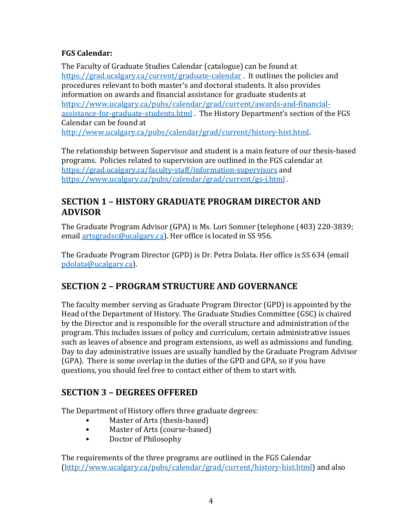## **FGS Calendar:**

The Faculty of Graduate Studies Calendar (catalogue) can be found at https://grad.ucalgary.ca/current/graduate-calendar . It outlines the policies and procedures relevant to both master's and doctoral students. It also provides information on awards and financial assistance for graduate students at https://www.ucalgary.ca/pubs/calendar/grad/current/awards-and-financialassistance-for-graduate-students.html . The History Department's section of the FGS Calendar can be found at

http://www.ucalgary.ca/pubs/calendar/grad/current/history-hist.html. 

The relationship between Supervisor and student is a main feature of our thesis-based programs. Policies related to supervision are outlined in the FGS calendar at https://grad.ucalgary.ca/faculty-staff/information-supervisors and https://www.ucalgary.ca/pubs/calendar/grad/current/gs-j.html . 

# **SECTION 1 - HISTORY GRADUATE PROGRAM DIRECTOR AND ADVISOR**

The Graduate Program Advisor (GPA) is Ms. Lori Somner (telephone (403) 220-3839; email artsgradsc@ucalgary.ca). Her office is located in SS 956.

The Graduate Program Director (GPD) is Dr. Petra Dolata. Her office is SS 634 (email pdolata@ucalgary.ca). 

# **SECTION 2 - PROGRAM STRUCTURE AND GOVERNANCE**

The faculty member serving as Graduate Program Director (GPD) is appointed by the Head of the Department of History. The Graduate Studies Committee (GSC) is chaired by the Director and is responsible for the overall structure and administration of the program. This includes issues of policy and curriculum, certain administrative issues such as leaves of absence and program extensions, as well as admissions and funding. Day to day administrative issues are usually handled by the Graduate Program Advisor (GPA). There is some overlap in the duties of the GPD and GPA, so if you have questions, you should feel free to contact either of them to start with.

# **SECTION 3 - DEGREES OFFERED**

The Department of History offers three graduate degrees:

- Master of Arts (thesis-based)
- Master of Arts (course-based)
- Doctor of Philosophy

The requirements of the three programs are outlined in the FGS Calendar (http://www.ucalgary.ca/pubs/calendar/grad/current/history-hist.html) and also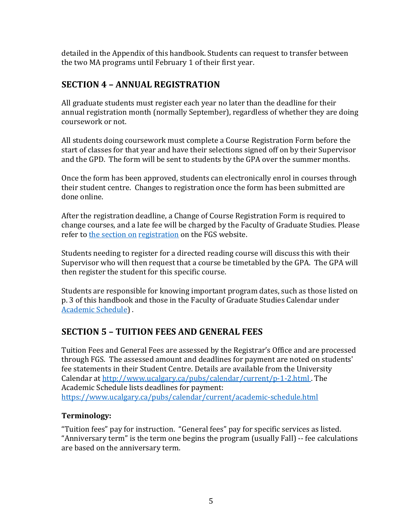detailed in the Appendix of this handbook. Students can request to transfer between the two MA programs until February 1 of their first vear.

# **SECTION 4 - ANNUAL REGISTRATION**

All graduate students must register each year no later than the deadline for their annual registration month (normally September), regardless of whether they are doing coursework or not.

All students doing coursework must complete a Course Registration Form before the start of classes for that year and have their selections signed off on by their Supervisor and the GPD. The form will be sent to students by the GPA over the summer months.

Once the form has been approved, students can electronically enrol in courses through their student centre. Changes to registration once the form has been submitted are done online.

After the registration deadline, a Change of Course Registration Form is required to change courses, and a late fee will be charged by the Faculty of Graduate Studies. Please refer to the section on registration on the FGS website.

Students needing to register for a directed reading course will discuss this with their Supervisor who will then request that a course be timetabled by the GPA. The GPA will then register the student for this specific course.

Students are responsible for knowing important program dates, such as those listed on p. 3 of this handbook and those in the Faculty of Graduate Studies Calendar under Academic Schedule) .

# **SECTION 5 - TUITION FEES AND GENERAL FEES**

Tuition Fees and General Fees are assessed by the Registrar's Office and are processed through FGS. The assessed amount and deadlines for payment are noted on students' fee statements in their Student Centre. Details are available from the University Calendar at http://www.ucalgary.ca/pubs/calendar/current/p-1-2.html. The Academic Schedule lists deadlines for payment: https://www.ucalgary.ca/pubs/calendar/current/academic-schedule.html

## **Terminology:**

"Tuition fees" pay for instruction. "General fees" pay for specific services as listed. "Anniversary term" is the term one begins the program (usually Fall) -- fee calculations are based on the anniversary term.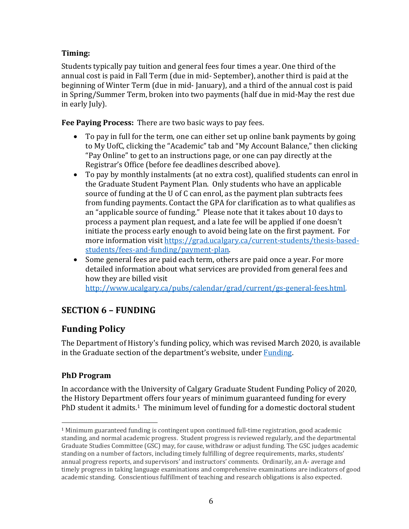## **Timing:**

Students typically pay tuition and general fees four times a year. One third of the annual cost is paid in Fall Term (due in mid- September), another third is paid at the beginning of Winter Term (due in mid- January), and a third of the annual cost is paid in Spring/Summer Term, broken into two payments (half due in mid-May the rest due in early July).

**Fee Paying Process:** There are two basic ways to pay fees.

- To pay in full for the term, one can either set up online bank payments by going to My UofC, clicking the "Academic" tab and "My Account Balance," then clicking "Pay Online" to get to an instructions page, or one can pay directly at the Registrar's Office (before fee deadlines described above).
- To pay by monthly instalments (at no extra cost), qualified students can enrol in the Graduate Student Payment Plan. Only students who have an applicable source of funding at the U of C can enrol, as the payment plan subtracts fees from funding payments. Contact the GPA for clarification as to what qualifies as an "applicable source of funding." Please note that it takes about 10 days to process a payment plan request, and a late fee will be applied if one doesn't initiate the process early enough to avoid being late on the first payment. For more information visit https://grad.ucalgary.ca/current-students/thesis-basedstudents/fees-and-funding/payment-plan.
- Some general fees are paid each term, others are paid once a year. For more detailed information about what services are provided from general fees and how they are billed visit http://www.ucalgary.ca/pubs/calendar/grad/current/gs-general-fees.html.

# **SECTION 6 – FUNDING**

# **Funding Policy**

The Department of History's funding policy, which was revised March 2020, is available in the Graduate section of the department's website, under Funding.

## **PhD Program**

In accordance with the University of Calgary Graduate Student Funding Policy of 2020, the History Department offers four years of minimum guaranteed funding for every PhD student it admits.<sup>1</sup> The minimum level of funding for a domestic doctoral student

 $1$  Minimum guaranteed funding is contingent upon continued full-time registration, good academic standing, and normal academic progress. Student progress is reviewed regularly, and the departmental Graduate Studies Committee (GSC) may, for cause, withdraw or adjust funding. The GSC judges academic standing on a number of factors, including timely fulfilling of degree requirements, marks, students' annual progress reports, and supervisors' and instructors' comments. Ordinarily, an A- average and timely progress in taking language examinations and comprehensive examinations are indicators of good academic standing. Conscientious fulfillment of teaching and research obligations is also expected.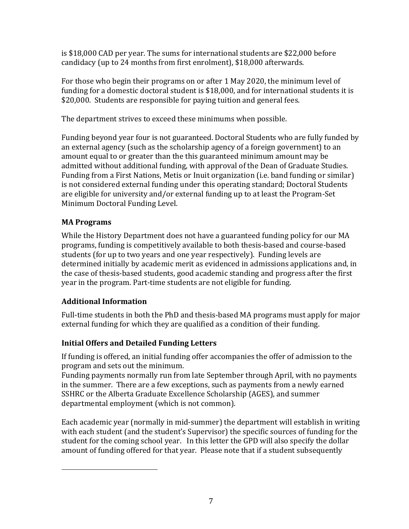is \$18,000 CAD per year. The sums for international students are \$22,000 before candidacy (up to 24 months from first enrolment), \$18,000 afterwards.

For those who begin their programs on or after 1 May 2020, the minimum level of funding for a domestic doctoral student is \$18,000, and for international students it is \$20,000. Students are responsible for paying tuition and general fees.

The department strives to exceed these minimums when possible.

Funding beyond year four is not guaranteed. Doctoral Students who are fully funded by an external agency (such as the scholarship agency of a foreign government) to an amount equal to or greater than the this guaranteed minimum amount may be admitted without additional funding, with approval of the Dean of Graduate Studies. Funding from a First Nations, Metis or Inuit organization (i.e. band funding or similar) is not considered external funding under this operating standard; Doctoral Students are eligible for university and/or external funding up to at least the Program-Set Minimum Doctoral Funding Level.

## **MA Programs**

While the History Department does not have a guaranteed funding policy for our MA programs, funding is competitively available to both thesis-based and course-based students (for up to two years and one year respectively). Funding levels are determined initially by academic merit as evidenced in admissions applications and, in the case of thesis-based students, good academic standing and progress after the first year in the program. Part-time students are not eligible for funding.

# **Additional Information**

Full-time students in both the PhD and thesis-based MA programs must apply for major external funding for which they are qualified as a condition of their funding.

# **Initial Offers and Detailed Funding Letters**

If funding is offered, an initial funding offer accompanies the offer of admission to the program and sets out the minimum.

Funding payments normally run from late September through April, with no payments in the summer. There are a few exceptions, such as payments from a newly earned SSHRC or the Alberta Graduate Excellence Scholarship (AGES), and summer departmental employment (which is not common).

Each academic year (normally in mid-summer) the department will establish in writing with each student (and the student's Supervisor) the specific sources of funding for the student for the coming school year. In this letter the GPD will also specify the dollar amount of funding offered for that year. Please note that if a student subsequently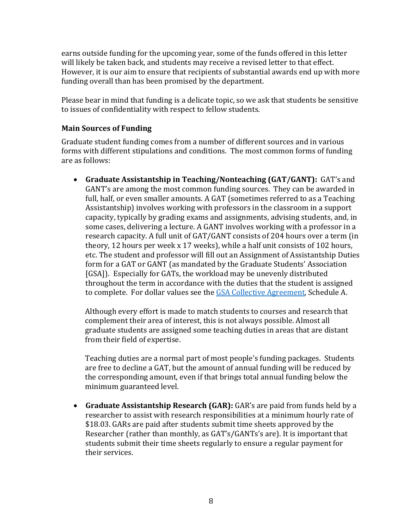earns outside funding for the upcoming year, some of the funds offered in this letter will likely be taken back, and students may receive a revised letter to that effect. However, it is our aim to ensure that recipients of substantial awards end up with more funding overall than has been promised by the department.

Please bear in mind that funding is a delicate topic, so we ask that students be sensitive to issues of confidentiality with respect to fellow students.

### **Main Sources of Funding**

Graduate student funding comes from a number of different sources and in various forms with different stipulations and conditions. The most common forms of funding are as follows:

• Graduate Assistantship in Teaching/Nonteaching (GAT/GANT): GAT's and GANT's are among the most common funding sources. They can be awarded in full, half, or even smaller amounts. A GAT (sometimes referred to as a Teaching Assistantship) involves working with professors in the classroom in a support capacity, typically by grading exams and assignments, advising students, and, in some cases, delivering a lecture. A GANT involves working with a professor in a research capacity. A full unit of GAT/GANT consists of 204 hours over a term (in theory, 12 hours per week x 17 weeks), while a half unit consists of 102 hours, etc. The student and professor will fill out an Assignment of Assistantship Duties form for a GAT or GANT (as mandated by the Graduate Students' Association [GSA]). Especially for GATs, the workload may be unevenly distributed throughout the term in accordance with the duties that the student is assigned to complete. For dollar values see the GSA Collective Agreement, Schedule A.

Although every effort is made to match students to courses and research that complement their area of interest, this is not always possible. Almost all graduate students are assigned some teaching duties in areas that are distant from their field of expertise.

Teaching duties are a normal part of most people's funding packages. Students are free to decline a GAT, but the amount of annual funding will be reduced by the corresponding amount, even if that brings total annual funding below the minimum guaranteed level.

• Graduate Assistantship Research (GAR): GAR's are paid from funds held by a researcher to assist with research responsibilities at a minimum hourly rate of \$18.03. GARs are paid after students submit time sheets approved by the Researcher (rather than monthly, as GAT's/GANTs's are). It is important that students submit their time sheets regularly to ensure a regular payment for their services.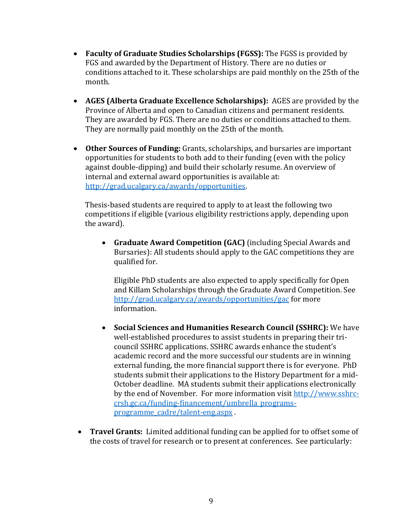- Faculty of Graduate Studies Scholarships (FGSS): The FGSS is provided by FGS and awarded by the Department of History. There are no duties or conditions attached to it. These scholarships are paid monthly on the 25th of the month.
- **AGES (Alberta Graduate Excellence Scholarships):** AGES are provided by the Province of Alberta and open to Canadian citizens and permanent residents. They are awarded by FGS. There are no duties or conditions attached to them. They are normally paid monthly on the 25th of the month.
- Other Sources of Funding: Grants, scholarships, and bursaries are important opportunities for students to both add to their funding (even with the policy against double-dipping) and build their scholarly resume. An overview of internal and external award opportunities is available at: http://grad.ucalgary.ca/awards/opportunities.

Thesis-based students are required to apply to at least the following two competitions if eligible (various eligibility restrictions apply, depending upon the award).

• **Graduate Award Competition (GAC)** (including Special Awards and Bursaries): All students should apply to the GAC competitions they are qualified for.

Eligible PhD students are also expected to apply specifically for Open and Killam Scholarships through the Graduate Award Competition. See http://grad.ucalgary.ca/awards/opportunities/gac for more information.

- Social Sciences and Humanities Research Council (SSHRC): We have well-established procedures to assist students in preparing their tricouncil SSHRC applications. SSHRC awards enhance the student's academic record and the more successful our students are in winning external funding, the more financial support there is for everyone. PhD students submit their applications to the History Department for a mid-October deadline. MA students submit their applications electronically by the end of November. For more information visit http://www.sshrccrsh.gc.ca/funding-financement/umbrella\_programsprogramme\_cadre/talent-eng.aspx .
- **Travel Grants:** Limited additional funding can be applied for to offset some of the costs of travel for research or to present at conferences. See particularly: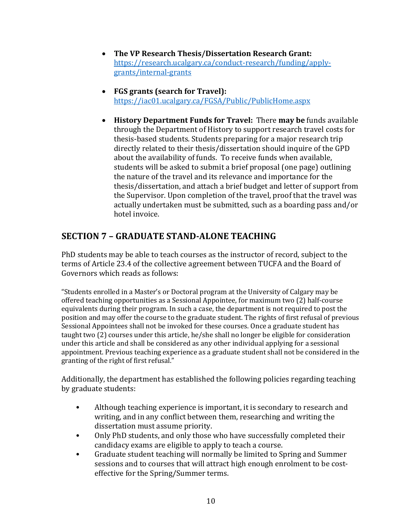- The VP Research Thesis/Dissertation Research Grant: https://research.ucalgary.ca/conduct-research/funding/applygrants/internal-grants
- **FGS** grants (search for Travel): https://iac01.ucalgary.ca/FGSA/Public/PublicHome.aspx
- History Department Funds for Travel: There may be funds available through the Department of History to support research travel costs for thesis-based students. Students preparing for a major research trip directly related to their thesis/dissertation should inquire of the GPD about the availability of funds. To receive funds when available, students will be asked to submit a brief proposal (one page) outlining the nature of the travel and its relevance and importance for the thesis/dissertation, and attach a brief budget and letter of support from the Supervisor. Upon completion of the travel, proof that the travel was actually undertaken must be submitted, such as a boarding pass and/or hotel invoice.

# **SECTION 7 - GRADUATE STAND-ALONE TEACHING**

PhD students may be able to teach courses as the instructor of record, subject to the terms of Article 23.4 of the collective agreement between TUCFA and the Board of Governors which reads as follows:

"Students enrolled in a Master's or Doctoral program at the University of Calgary may be offered teaching opportunities as a Sessional Appointee, for maximum two (2) half-course equivalents during their program. In such a case, the department is not required to post the position and may offer the course to the graduate student. The rights of first refusal of previous Sessional Appointees shall not be invoked for these courses. Once a graduate student has taught two (2) courses under this article, he/she shall no longer be eligible for consideration under this article and shall be considered as any other individual applying for a sessional appointment. Previous teaching experience as a graduate student shall not be considered in the granting of the right of first refusal."

Additionally, the department has established the following policies regarding teaching by graduate students:

- Although teaching experience is important, it is secondary to research and writing, and in any conflict between them, researching and writing the dissertation must assume priority.
- Only PhD students, and only those who have successfully completed their candidacy exams are eligible to apply to teach a course.
- Graduate student teaching will normally be limited to Spring and Summer sessions and to courses that will attract high enough enrolment to be costeffective for the Spring/Summer terms.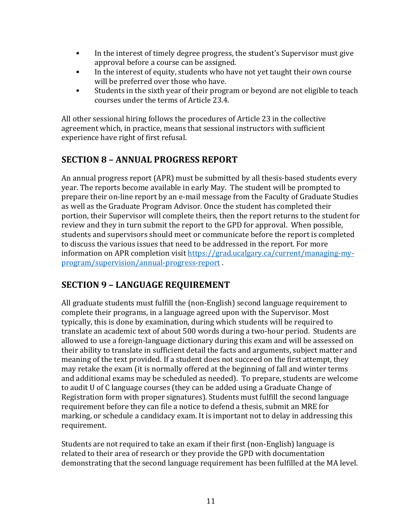- In the interest of timely degree progress, the student's Supervisor must give approval before a course can be assigned.
- In the interest of equity, students who have not yet taught their own course will be preferred over those who have.
- Students in the sixth year of their program or beyond are not eligible to teach courses under the terms of Article 23.4.

All other sessional hiring follows the procedures of Article 23 in the collective agreement which, in practice, means that sessional instructors with sufficient experience have right of first refusal.

# **SECTION 8 – ANNUAL PROGRESS REPORT**

An annual progress report (APR) must be submitted by all thesis-based students every year. The reports become available in early May. The student will be prompted to prepare their on-line report by an e-mail message from the Faculty of Graduate Studies as well as the Graduate Program Advisor. Once the student has completed their portion, their Supervisor will complete theirs, then the report returns to the student for review and they in turn submit the report to the GPD for approval. When possible, students and supervisors should meet or communicate before the report is completed to discuss the various issues that need to be addressed in the report. For more information on APR completion visit https://grad.ucalgary.ca/current/managing-myprogram/supervision/annual-progress-report .

# **SECTION 9 - LANGUAGE REQUIREMENT**

All graduate students must fulfill the (non-English) second language requirement to complete their programs, in a language agreed upon with the Supervisor. Most typically, this is done by examination, during which students will be required to translate an academic text of about 500 words during a two-hour period. Students are allowed to use a foreign-language dictionary during this exam and will be assessed on their ability to translate in sufficient detail the facts and arguments, subject matter and meaning of the text provided. If a student does not succeed on the first attempt, they may retake the exam (it is normally offered at the beginning of fall and winter terms and additional exams may be scheduled as needed). To prepare, students are welcome to audit U of C language courses (they can be added using a Graduate Change of Registration form with proper signatures). Students must fulfill the second language requirement before they can file a notice to defend a thesis, submit an MRE for marking, or schedule a candidacy exam. It is important not to delay in addressing this requirement. 

Students are not required to take an exam if their first (non-English) language is related to their area of research or they provide the GPD with documentation demonstrating that the second language requirement has been fulfilled at the MA level.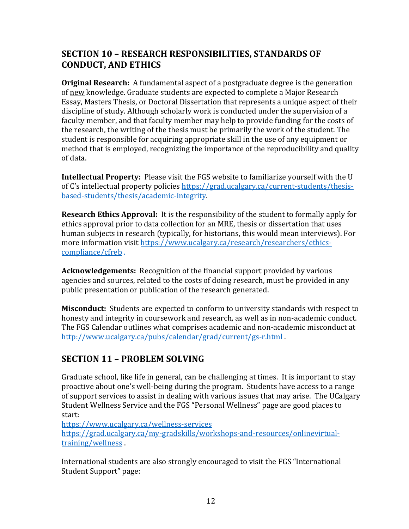## **SECTION 10 - RESEARCH RESPONSIBILITIES, STANDARDS OF CONDUCT, AND ETHICS**

**Original Research:** A fundamental aspect of a postgraduate degree is the generation of new knowledge. Graduate students are expected to complete a Major Research Essay, Masters Thesis, or Doctoral Dissertation that represents a unique aspect of their discipline of study. Although scholarly work is conducted under the supervision of a faculty member, and that faculty member may help to provide funding for the costs of the research, the writing of the thesis must be primarily the work of the student. The student is responsible for acquiring appropriate skill in the use of any equipment or method that is employed, recognizing the importance of the reproducibility and quality of data.

**Intellectual Property:** Please visit the FGS website to familiarize yourself with the U of C's intellectual property policies https://grad.ucalgary.ca/current-students/thesisbased-students/thesis/academic-integrity.

**Research Ethics Approval:** It is the responsibility of the student to formally apply for ethics approval prior to data collection for an MRE, thesis or dissertation that uses human subjects in research (typically, for historians, this would mean interviews). For more information visit https://www.ucalgary.ca/research/researchers/ethicscompliance/cfreb .

**Acknowledgements:** Recognition of the financial support provided by various agencies and sources, related to the costs of doing research, must be provided in any public presentation or publication of the research generated.

**Misconduct:** Students are expected to conform to university standards with respect to honesty and integrity in coursework and research, as well as in non-academic conduct. The FGS Calendar outlines what comprises academic and non-academic misconduct at http://www.ucalgary.ca/pubs/calendar/grad/current/gs-r.html .

# **SECTION 11 - PROBLEM SOLVING**

Graduate school, like life in general, can be challenging at times. It is important to stay proactive about one's well-being during the program. Students have access to a range of support services to assist in dealing with various issues that may arise. The UCalgary Student Wellness Service and the FGS "Personal Wellness" page are good places to start:

https://www.ucalgary.ca/wellness-services

https://grad.ucalgary.ca/my-gradskills/workshops-and-resources/onlinevirtualtraining/wellness . 

International students are also strongly encouraged to visit the FGS "International Student Support" page: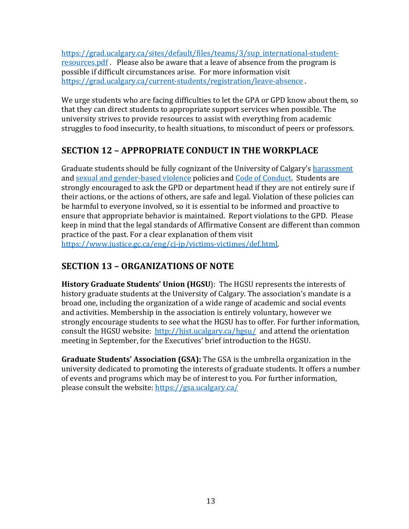https://grad.ucalgary.ca/sites/default/files/teams/3/sup\_international-studentresources.pdf . Please also be aware that a leave of absence from the program is possible if difficult circumstances arise. For more information visit https://grad.ucalgary.ca/current-students/registration/leave-absence .

We urge students who are facing difficulties to let the GPA or GPD know about them, so that they can direct students to appropriate support services when possible. The university strives to provide resources to assist with everything from academic struggles to food insecurity, to health situations, to misconduct of peers or professors.

# **SECTION 12 - APPROPRIATE CONDUCT IN THE WORKPLACE**

Graduate students should be fully cognizant of the University of Calgary's harassment and sexual and gender-based violence policies and Code of Conduct. Students are strongly encouraged to ask the GPD or department head if they are not entirely sure if their actions, or the actions of others, are safe and legal. Violation of these policies can be harmful to everyone involved, so it is essential to be informed and proactive to ensure that appropriate behavior is maintained. Report violations to the GPD. Please keep in mind that the legal standards of Affirmative Consent are different than common practice of the past. For a clear explanation of them visit https://www.justice.gc.ca/eng/cj-jp/victims-victimes/def.html. 

# **SECTION 13 – ORGANIZATIONS OF NOTE**

**History Graduate Students' Union (HGSU):** The HGSU represents the interests of history graduate students at the University of Calgary. The association's mandate is a broad one, including the organization of a wide range of academic and social events and activities. Membership in the association is entirely voluntary, however we strongly encourage students to see what the HGSU has to offer. For further information, consult the HGSU website:  $\frac{http://histucalgary.ca/hgsu/}{http://histucalgary.ca/hgsu/}$  and attend the orientation meeting in September, for the Executives' brief introduction to the HGSU.

**Graduate Students' Association (GSA):** The GSA is the umbrella organization in the university dedicated to promoting the interests of graduate students. It offers a number of events and programs which may be of interest to you. For further information, please consult the website:  $https://gsa.ucalgary.ca/$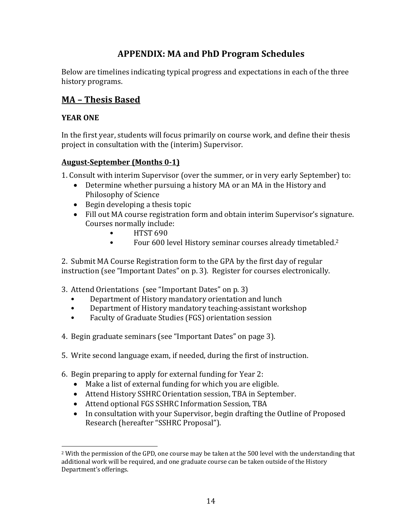# **APPENDIX: MA and PhD Program Schedules**

Below are timelines indicating typical progress and expectations in each of the three history programs.

## **MA – Thesis Based**

#### **YEAR ONE**

In the first year, students will focus primarily on course work, and define their thesis project in consultation with the (interim) Supervisor.

#### **August-September (Months 0-1)**

- 1. Consult with interim Supervisor (over the summer, or in very early September) to:
	- Determine whether pursuing a history MA or an MA in the History and Philosophy of Science
	- $\bullet$  Begin developing a thesis topic
	- Fill out MA course registration form and obtain interim Supervisor's signature. Courses normally include:
		- HTST 690
		- Four 600 level History seminar courses already timetabled.<sup>2</sup>

2. Submit MA Course Registration form to the GPA by the first day of regular instruction (see "Important Dates" on p. 3). Register for courses electronically.

- 3. Attend Orientations (see "Important Dates" on p. 3)
	- Department of History mandatory orientation and lunch
	- Department of History mandatory teaching-assistant workshop
	- Faculty of Graduate Studies (FGS) orientation session
- 4. Begin graduate seminars (see "Important Dates" on page 3).
- 5. Write second language exam, if needed, during the first of instruction.
- 6. Begin preparing to apply for external funding for Year 2:
	- Make a list of external funding for which you are eligible.
	- Attend History SSHRC Orientation session, TBA in September.
	- Attend optional FGS SSHRC Information Session, TBA
	- In consultation with your Supervisor, begin drafting the Outline of Proposed Research (hereafter "SSHRC Proposal").

 $2$  With the permission of the GPD, one course may be taken at the 500 level with the understanding that additional work will be required, and one graduate course can be taken outside of the History Department's offerings.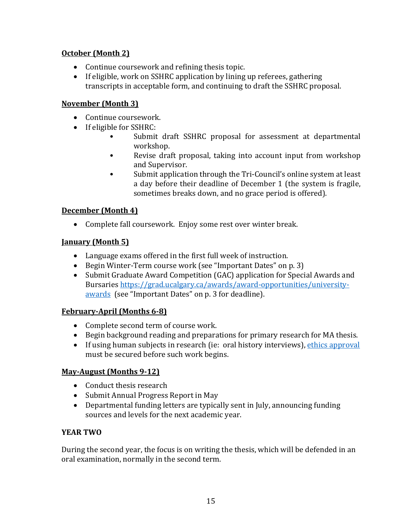## **October (Month 2)**

- $\bullet$  Continue coursework and refining thesis topic.
- If eligible, work on SSHRC application by lining up referees, gathering transcripts in acceptable form, and continuing to draft the SSHRC proposal.

## **November (Month 3)**

- Continue coursework.
- If eligible for SSHRC:
	- Submit draft SSHRC proposal for assessment at departmental workshop.
	- Revise draft proposal, taking into account input from workshop and Supervisor.
	- Submit application through the Tri-Council's online system at least a day before their deadline of December 1 (the system is fragile, sometimes breaks down, and no grace period is offered).

## **December** (Month 4)

• Complete fall coursework. Enjoy some rest over winter break.

## **January (Month 5)**

- Language exams offered in the first full week of instruction.
- Begin Winter-Term course work (see "Important Dates" on p. 3)
- Submit Graduate Award Competition (GAC) application for Special Awards and Bursaries https://grad.ucalgary.ca/awards/award-opportunities/universityawards (see "Important Dates" on p. 3 for deadline).

## **February-April (Months 6-8)**

- Complete second term of course work.
- Begin background reading and preparations for primary research for MA thesis.
- If using human subjects in research (ie: oral history interviews), ethics approval must be secured before such work begins.

## **May-August (Months 9-12)**

- Conduct thesis research
- Submit Annual Progress Report in May
- Departmental funding letters are typically sent in July, announcing funding sources and levels for the next academic year.

## **YEAR TWO**

During the second year, the focus is on writing the thesis, which will be defended in an oral examination, normally in the second term.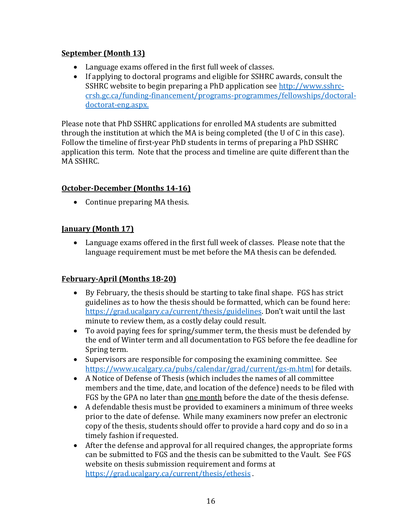## **September** (Month 13)

- Language exams offered in the first full week of classes.
- If applying to doctoral programs and eligible for SSHRC awards, consult the SSHRC website to begin preparing a PhD application see http://www.sshrccrsh.gc.ca/funding-financement/programs-programmes/fellowships/doctoraldoctorat-eng.aspx.

Please note that PhD SSHRC applications for enrolled MA students are submitted through the institution at which the MA is being completed (the U of C in this case). Follow the timeline of first-year PhD students in terms of preparing a PhD SSHRC application this term. Note that the process and timeline are quite different than the MA SSHRC.

## **October-December** (Months 14-16)

 $\bullet$  Continue preparing MA thesis.

## **January (Month 17)**

• Language exams offered in the first full week of classes. Please note that the language requirement must be met before the MA thesis can be defended.

## **February-April (Months 18-20)**

- By February, the thesis should be starting to take final shape. FGS has strict guidelines as to how the thesis should be formatted, which can be found here: https://grad.ucalgary.ca/current/thesis/guidelines. Don't wait until the last minute to review them, as a costly delay could result.
- To avoid paying fees for spring/summer term, the thesis must be defended by the end of Winter term and all documentation to FGS before the fee deadline for Spring term.
- Supervisors are responsible for composing the examining committee. See https://www.ucalgary.ca/pubs/calendar/grad/current/gs-m.html for details.
- A Notice of Defense of Thesis (which includes the names of all committee members and the time, date, and location of the defence) needs to be filed with FGS by the GPA no later than one month before the date of the thesis defense.
- A defendable thesis must be provided to examiners a minimum of three weeks prior to the date of defense. While many examiners now prefer an electronic copy of the thesis, students should offer to provide a hard copy and do so in a timely fashion if requested.
- After the defense and approval for all required changes, the appropriate forms can be submitted to FGS and the thesis can be submitted to the Vault. See FGS website on thesis submission requirement and forms at https://grad.ucalgary.ca/current/thesis/ethesis .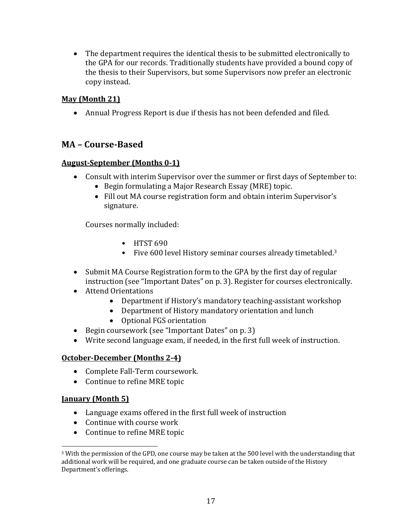• The department requires the identical thesis to be submitted electronically to the GPA for our records. Traditionally students have provided a bound copy of the thesis to their Supervisors, but some Supervisors now prefer an electronic copy instead.

## **May** (Month 21)

• Annual Progress Report is due if thesis has not been defended and filed.

## **MA – Course-Based**

### **August-September (Months 0-1)**

- Consult with interim Supervisor over the summer or first days of September to:
	- Begin formulating a Major Research Essay (MRE) topic.
	- Fill out MA course registration form and obtain interim Supervisor's signature.

Courses normally included:

- $\bullet$  HTST 690
- Five  $600$  level History seminar courses already timetabled.<sup>3</sup>
- Submit MA Course Registration form to the GPA by the first day of regular instruction (see "Important Dates" on p. 3). Register for courses electronically.
- Attend Orientations
	- Department if History's mandatory teaching-assistant workshop
	- Department of History mandatory orientation and lunch
	- Optional FGS orientation
- Begin coursework (see "Important Dates" on p. 3)
- Write second language exam, if needed, in the first full week of instruction.

#### **October-December** (Months 2-4)

- Complete Fall-Term coursework.
- Continue to refine MRE topic

#### *<u>Ianuary* (Month 5)</u>

- Language exams offered in the first full week of instruction
- Continue with course work
- Continue to refine MRE topic

<sup>&</sup>lt;sup>3</sup> With the permission of the GPD, one course may be taken at the 500 level with the understanding that additional work will be required, and one graduate course can be taken outside of the History Department's offerings.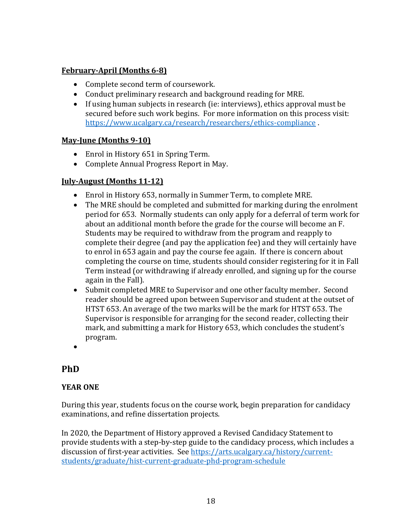### **February-April (Months 6-8)**

- Complete second term of coursework.
- Conduct preliminary research and background reading for MRE.
- If using human subjects in research (ie: interviews), ethics approval must be secured before such work begins. For more information on this process visit: https://www.ucalgary.ca/research/researchers/ethics-compliance .

#### **May-June (Months 9-10)**

- Enrol in History 651 in Spring Term.
- Complete Annual Progress Report in May.

### **July-August (Months 11-12)**

- Enrol in History 653, normally in Summer Term, to complete MRE.
- The MRE should be completed and submitted for marking during the enrolment period for 653. Normally students can only apply for a deferral of term work for about an additional month before the grade for the course will become an F. Students may be required to withdraw from the program and reapply to complete their degree (and pay the application fee) and they will certainly have to enrol in 653 again and pay the course fee again. If there is concern about completing the course on time, students should consider registering for it in Fall Term instead (or withdrawing if already enrolled, and signing up for the course again in the Fall).
- Submit completed MRE to Supervisor and one other faculty member. Second reader should be agreed upon between Supervisor and student at the outset of HTST 653. An average of the two marks will be the mark for HTST 653. The Supervisor is responsible for arranging for the second reader, collecting their mark, and submitting a mark for History 653, which concludes the student's program.
- •

# **PhD**

## **YEAR ONE**

During this year, students focus on the course work, begin preparation for candidacy examinations, and refine dissertation projects.

In 2020, the Department of History approved a Revised Candidacy Statement to provide students with a step-by-step guide to the candidacy process, which includes a discussion of first-year activities. See https://arts.ucalgary.ca/history/currentstudents/graduate/hist-current-graduate-phd-program-schedule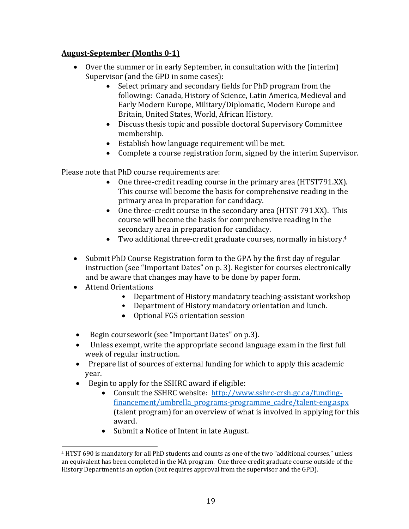## August-September (Months 0-1)

- Over the summer or in early September, in consultation with the (interim) Supervisor (and the GPD in some cases):
	- Select primary and secondary fields for PhD program from the following: Canada, History of Science, Latin America, Medieval and Early Modern Europe, Military/Diplomatic, Modern Europe and Britain, United States, World, African History.
	- Discuss thesis topic and possible doctoral Supervisory Committee membership.
	- Establish how language requirement will be met.
	- Complete a course registration form, signed by the interim Supervisor.

Please note that PhD course requirements are:

- One three-credit reading course in the primary area  $(HTST791.XX)$ . This course will become the basis for comprehensive reading in the primary area in preparation for candidacy.
- One three-credit course in the secondary area (HTST 791.XX). This course will become the basis for comprehensive reading in the secondary area in preparation for candidacy.
- Two additional three-credit graduate courses, normally in history.<sup>4</sup>
- Submit PhD Course Registration form to the GPA by the first day of regular instruction (see "Important Dates" on p. 3). Register for courses electronically and be aware that changes may have to be done by paper form.
- Attend Orientations
	- Department of History mandatory teaching-assistant workshop
	- Department of History mandatory orientation and lunch.
	- Optional FGS orientation session
- Begin coursework (see "Important Dates" on p.3).
- Unless exempt, write the appropriate second language exam in the first full week of regular instruction.
- Prepare list of sources of external funding for which to apply this academic year.
- Begin to apply for the SSHRC award if eligible:
	- Consult the SSHRC website: http://www.sshrc-crsh.gc.ca/fundingfinancement/umbrella\_programs-programme\_cadre/talent-eng.aspx (talent program) for an overview of what is involved in applying for this award.
	- Submit a Notice of Intent in late August.

<sup>&</sup>lt;sup>4</sup> HTST 690 is mandatory for all PhD students and counts as one of the two "additional courses," unless an equivalent has been completed in the MA program. One three-credit graduate course outside of the History Department is an option (but requires approval from the supervisor and the GPD).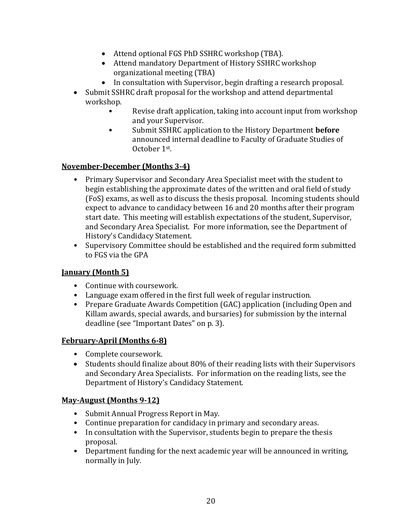- Attend optional FGS PhD SSHRC workshop (TBA).
- Attend mandatory Department of History SSHRC workshop organizational meeting (TBA)
- In consultation with Supervisor, begin drafting a research proposal.
- Submit SSHRC draft proposal for the workshop and attend departmental workshop.
	- Revise draft application, taking into account input from workshop and your Supervisor.
	- Submit SSHRC application to the History Department **before** announced internal deadline to Faculty of Graduate Studies of October 1<sup>st</sup>.

## **November-December (Months 3-4)**

- Primary Supervisor and Secondary Area Specialist meet with the student to begin establishing the approximate dates of the written and oral field of study (FoS) exams, as well as to discuss the thesis proposal. Incoming students should expect to advance to candidacy between 16 and 20 months after their program start date. This meeting will establish expectations of the student, Supervisor, and Secondary Area Specialist. For more information, see the Department of History's Candidacy Statement.
- Supervisory Committee should be established and the required form submitted to FGS via the GPA

## **January (Month 5)**

- Continue with coursework.
- Language exam offered in the first full week of regular instruction.
- Prepare Graduate Awards Competition (GAC) application (including Open and Killam awards, special awards, and bursaries) for submission by the internal deadline (see "Important Dates" on p. 3).

## **February-April (Months 6-8)**

- Complete coursework.
- Students should finalize about 80% of their reading lists with their Supervisors and Secondary Area Specialists. For information on the reading lists, see the Department of History's Candidacy Statement.

#### **May-August (Months 9-12)**

- Submit Annual Progress Report in May.
- Continue preparation for candidacy in primary and secondary areas.
- In consultation with the Supervisor, students begin to prepare the thesis proposal.
- Department funding for the next academic year will be announced in writing, normally in July.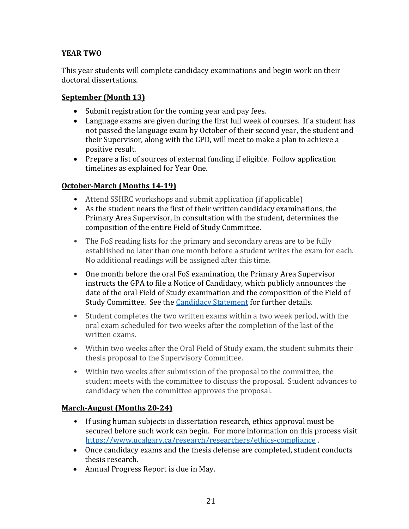## **YEAR TWO**

This year students will complete candidacy examinations and begin work on their doctoral dissertations.

#### **September** (Month 13)

- Submit registration for the coming year and pay fees.
- Language exams are given during the first full week of courses. If a student has not passed the language exam by October of their second year, the student and their Supervisor, along with the GPD, will meet to make a plan to achieve a positive result.
- Prepare a list of sources of external funding if eligible. Follow application timelines as explained for Year One.

### **October-March (Months 14-19)**

- Attend SSHRC workshops and submit application (if applicable)
- As the student nears the first of their written candidacy examinations, the Primary Area Supervisor, in consultation with the student, determines the composition of the entire Field of Study Committee.
- The FoS reading lists for the primary and secondary areas are to be fully established no later than one month before a student writes the exam for each. No additional readings will be assigned after this time.
- One month before the oral FoS examination, the Primary Area Supervisor instructs the GPA to file a Notice of Candidacy, which publicly announces the date of the oral Field of Study examination and the composition of the Field of Study Committee. See the Candidacy Statement for further details.
- Student completes the two written exams within a two week period, with the oral exam scheduled for two weeks after the completion of the last of the written exams.
- Within two weeks after the Oral Field of Study exam, the student submits their thesis proposal to the Supervisory Committee.
- Within two weeks after submission of the proposal to the committee, the student meets with the committee to discuss the proposal. Student advances to candidacy when the committee approves the proposal.

## **March-August** (Months 20-24)

- If using human subjects in dissertation research, ethics approval must be secured before such work can begin. For more information on this process visit https://www.ucalgary.ca/research/researchers/ethics-compliance .
- Once candidacy exams and the thesis defense are completed, student conducts thesis research.
- Annual Progress Report is due in May.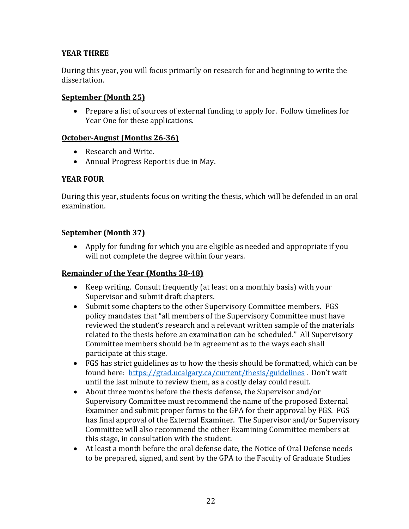### **YEAR THREE**

During this year, you will focus primarily on research for and beginning to write the dissertation.

#### **September** (Month 25)

• Prepare a list of sources of external funding to apply for. Follow timelines for Year One for these applications.

### **October-August** (Months 26-36)

- Research and Write.
- Annual Progress Report is due in May.

### **YEAR FOUR**

During this year, students focus on writing the thesis, which will be defended in an oral examination.

### **September** (Month 37)

• Apply for funding for which you are eligible as needed and appropriate if you will not complete the degree within four years.

## **Remainder of the Year (Months 38-48)**

- Keep writing. Consult frequently (at least on a monthly basis) with your Supervisor and submit draft chapters.
- Submit some chapters to the other Supervisory Committee members. FGS policy mandates that "all members of the Supervisory Committee must have reviewed the student's research and a relevant written sample of the materials related to the thesis before an examination can be scheduled." All Supervisory Committee members should be in agreement as to the ways each shall participate at this stage.
- FGS has strict guidelines as to how the thesis should be formatted, which can be found here: https://grad.ucalgary.ca/current/thesis/guidelines . Don't wait until the last minute to review them, as a costly delay could result.
- About three months before the thesis defense, the Supervisor and/or Supervisory Committee must recommend the name of the proposed External Examiner and submit proper forms to the GPA for their approval by FGS. FGS has final approval of the External Examiner. The Supervisor and/or Supervisory Committee will also recommend the other Examining Committee members at this stage, in consultation with the student.
- At least a month before the oral defense date, the Notice of Oral Defense needs to be prepared, signed, and sent by the GPA to the Faculty of Graduate Studies